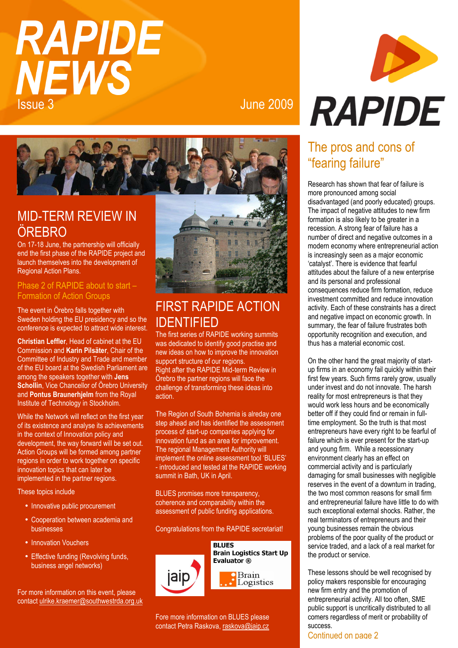# **RAPIDE NEWS** Issue 3 June 2009



# MID-TERM REVIEW IN **ÖRFBRO**

On 17-18 June, the partnership will officially end the first phase of the RAPIDE project and launch themselves into the development of Regional Action Plans.

#### Phase 2 of RAPIDE about to start – Formation of Action Groups

The event in Örebro falls together with Sweden holding the EU presidency and so the conference is expected to attract wide interest.

**Christian Leffler**, Head of cabinet at the EU Commission and **Karin Pilsäter**, Chair of the Committee of Industry and Trade and member of the EU board at the Swedish Parliament are among the speakers together with **Jens Schollin**, Vice Chancellor of Örebro University and **Pontus Braunerhjelm** from the Royal Institute of Technology in Stockholm.

While the Network will reflect on the first year of its existence and analyse its achievements in the context of Innovation policy and development, the way forward will be set out. Action Groups will be formed among partner regions in order to work together on specific innovation topics that can later be implemented in the partner regions.

These topics include

- Innovative public procurement
- Cooperation between academia and businesses
- Innovation Vouchers
- Effective funding (Revolving funds, business angel networks)

For more information on this event, please contact ulrike.kraemer@southwestrda.org.uk



# FIRST RAPIDE ACTION IDENTIFIED

The first series of RAPIDE working summits was dedicated to identify good practise and new ideas on how to improve the innovation support structure of our regions. Right after the RAPIDE Mid-term Review in Örebro the partner regions will face the challenge of transforming these ideas into action.

The Region of South Bohemia is alreday one step ahead and has identified the assessment process of start-up companies applying for innovation fund as an area for improvement. The regional Management Authority will implement the online assessment tool 'BLUES' - introduced and tested at the RAPIDE working summit in Bath, UK in April.

BLUES promises more transparency, coherence and comparability within the assessment of public funding applications.

Congratulations from the RAPIDE secretariat!



Fore more information on BLUES please contact Petra Raskova, raskova@jaip.cz



# The pros and cons of "fearing failure"

Research has shown that fear of failure is more pronounced among social disadvantaged (and poorly educated) groups. The impact of negative attitudes to new firm formation is also likely to be greater in a recession. A strong fear of failure has a number of direct and negative outcomes in a modern economy where entrepreneurial action is increasingly seen as a major economic 'catalyst'. There is evidence that fearful attitudes about the failure of a new enterprise and its personal and professional consequences reduce firm formation, reduce investment committed and reduce innovation activity. Each of these constraints has a direct and negative impact on economic growth. In summary, the fear of failure frustrates both opportunity recognition and execution, and thus has a material economic cost.

On the other hand the great majority of startup firms in an economy fail quickly within their first few years. Such firms rarely grow, usually under invest and do not innovate. The harsh reality for most entrepreneurs is that they would work less hours and be economically better off if they could find or remain in fulltime employment. So the truth is that most entrepreneurs have every right to be fearful of failure which is ever present for the start-up and young firm. While a recessionary environment clearly has an effect on commercial activity and is particularly damaging for small businesses with negligible reserves in the event of a downturn in trading, the two most common reasons for small firm and entrepreneurial failure have little to do with such exceptional external shocks. Rather, the real terminators of entrepreneurs and their young businesses remain the obvious problems of the poor quality of the product or service traded, and a lack of a real market for the product or service.

These lessons should be well recognised by policy makers responsible for encouraging new firm entry and the promotion of entrepreneurial activity. All too often, SME public support is uncritically distributed to all comers regardless of merit or probability of success.

#### Continued on page 2